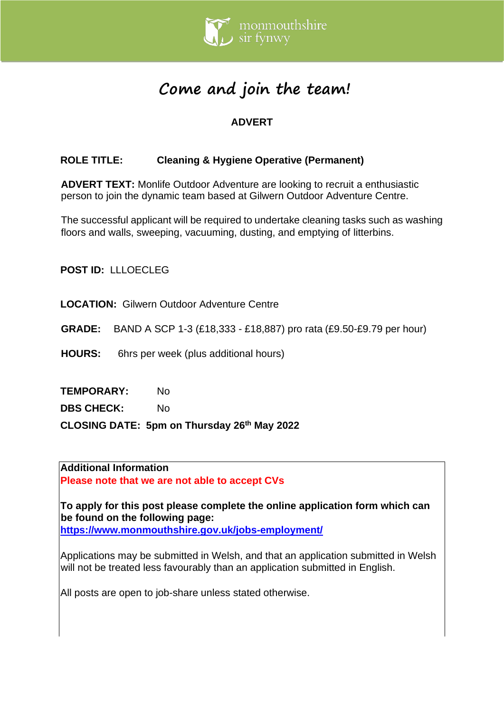

# **Come and join the team!**

# **ADVERT**

# **ROLE TITLE: Cleaning & Hygiene Operative (Permanent)**

**ADVERT TEXT:** Monlife Outdoor Adventure are looking to recruit a enthusiastic person to join the dynamic team based at Gilwern Outdoor Adventure Centre.

The successful applicant will be required to undertake cleaning tasks such as washing floors and walls, sweeping, vacuuming, dusting, and emptying of litterbins.

**POST ID:** LLLOECLEG

**LOCATION:** Gilwern Outdoor Adventure Centre

**GRADE:** BAND A SCP 1-3 (£18,333 - £18,887) pro rata (£9.50-£9.79 per hour)

**HOURS:** 6hrs per week (plus additional hours)

**TEMPORARY:** No

**DBS CHECK:** No

**CLOSING DATE: 5pm on Thursday 26th May 2022**

**Additional Information Please note that we are not able to accept CVs** 

**To apply for this post please complete the online application form which can be found on the following page: <https://www.monmouthshire.gov.uk/jobs-employment/>**

Applications may be submitted in Welsh, and that an application submitted in Welsh will not be treated less favourably than an application submitted in English.

All posts are open to job-share unless stated otherwise.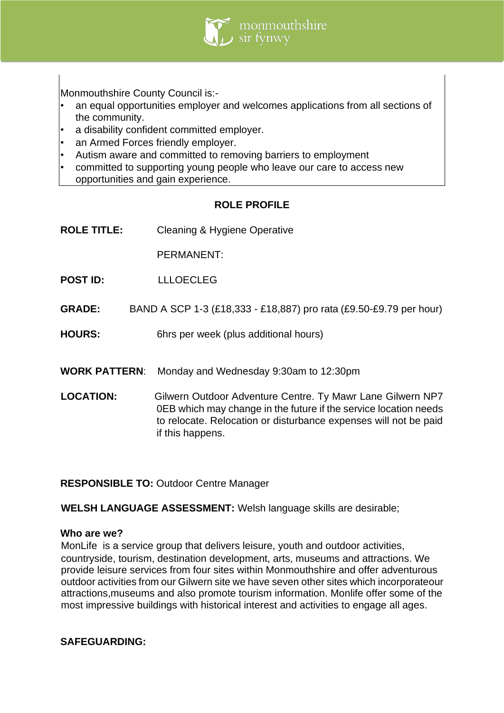

Monmouthshire County Council is:-

- an equal opportunities employer and welcomes applications from all sections of the community.
- a disability confident committed employer.
- an Armed Forces friendly employer.
- Autism aware and committed to removing barriers to employment
- committed to supporting young people who leave our care to access new opportunities and gain experience.

## **ROLE PROFILE**

**ROLE TITLE:** Cleaning & Hygiene Operative

PERMANENT:

- **POST ID:** LLLOECLEG
- **GRADE:** BAND A SCP 1-3 (£18,333 £18,887) pro rata (£9.50-£9.79 per hour)
- **HOURS:** 6hrs per week (plus additional hours)
- **WORK PATTERN**: Monday and Wednesday 9:30am to 12:30pm
- **LOCATION:** Gilwern Outdoor Adventure Centre. Ty Mawr Lane Gilwern NP7 0EB which may change in the future if the service location needs to relocate. Relocation or disturbance expenses will not be paid if this happens.

**RESPONSIBLE TO:** Outdoor Centre Manager

**WELSH LANGUAGE ASSESSMENT:** Welsh language skills are desirable;

## **Who are we?**

MonLife is a service group that delivers leisure, youth and outdoor activities, countryside, tourism, destination development, arts, museums and attractions. We provide leisure services from four sites within Monmouthshire and offer adventurous outdoor activities from our Gilwern site we have seven other sites which incorporateour attractions,museums and also promote tourism information. Monlife offer some of the most impressive buildings with historical interest and activities to engage all ages.

## **SAFEGUARDING:**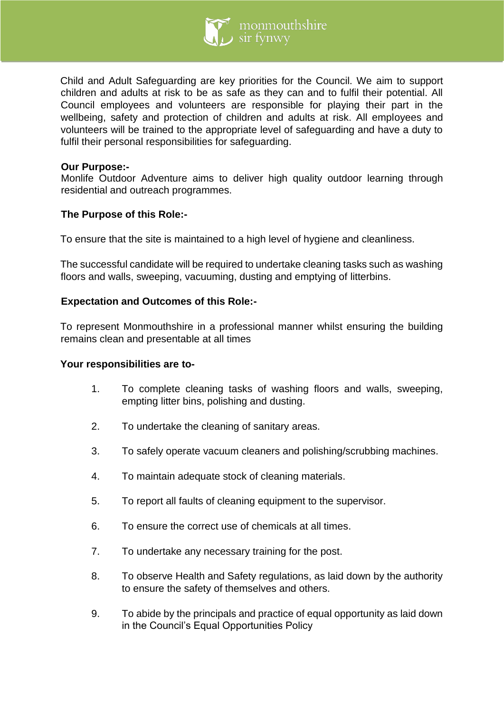

Child and Adult Safeguarding are key priorities for the Council. We aim to support children and adults at risk to be as safe as they can and to fulfil their potential. All Council employees and volunteers are responsible for playing their part in the wellbeing, safety and protection of children and adults at risk. All employees and volunteers will be trained to the appropriate level of safeguarding and have a duty to fulfil their personal responsibilities for safeguarding.

## **Our Purpose:-**

Monlife Outdoor Adventure aims to deliver high quality outdoor learning through residential and outreach programmes.

## **The Purpose of this Role:-**

To ensure that the site is maintained to a high level of hygiene and cleanliness.

The successful candidate will be required to undertake cleaning tasks such as washing floors and walls, sweeping, vacuuming, dusting and emptying of litterbins.

## **Expectation and Outcomes of this Role:-**

To represent Monmouthshire in a professional manner whilst ensuring the building remains clean and presentable at all times

#### **Your responsibilities are to-**

- 1. To complete cleaning tasks of washing floors and walls, sweeping, empting litter bins, polishing and dusting.
- 2. To undertake the cleaning of sanitary areas.
- 3. To safely operate vacuum cleaners and polishing/scrubbing machines.
- 4. To maintain adequate stock of cleaning materials.
- 5. To report all faults of cleaning equipment to the supervisor.
- 6. To ensure the correct use of chemicals at all times.
- 7. To undertake any necessary training for the post.
- 8. To observe Health and Safety regulations, as laid down by the authority to ensure the safety of themselves and others.
- 9. To abide by the principals and practice of equal opportunity as laid down in the Council's Equal Opportunities Policy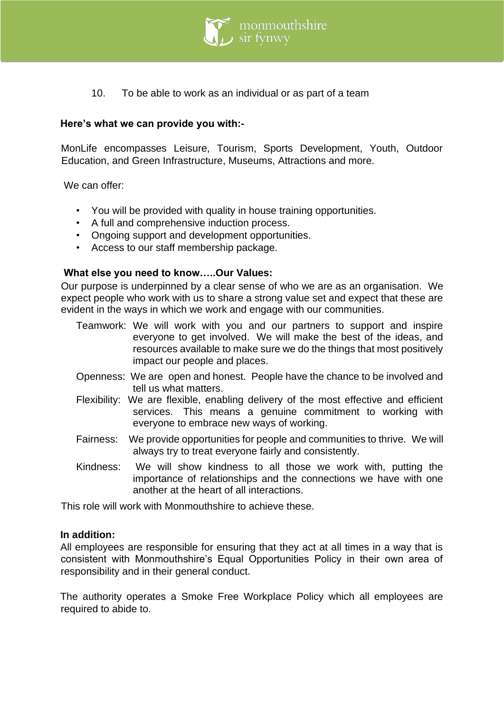

10. To be able to work as an individual or as part of a team

## **Here's what we can provide you with:-**

MonLife encompasses Leisure, Tourism, Sports Development, Youth, Outdoor Education, and Green Infrastructure, Museums, Attractions and more.

We can offer:

- You will be provided with quality in house training opportunities.
- A full and comprehensive induction process.
- Ongoing support and development opportunities.
- Access to our staff membership package.

#### **What else you need to know…..Our Values:**

Our purpose is underpinned by a clear sense of who we are as an organisation. We expect people who work with us to share a strong value set and expect that these are evident in the ways in which we work and engage with our communities.

- Teamwork: We will work with you and our partners to support and inspire everyone to get involved. We will make the best of the ideas, and resources available to make sure we do the things that most positively impact our people and places.
- Openness: We are open and honest. People have the chance to be involved and tell us what matters.
- Flexibility: We are flexible, enabling delivery of the most effective and efficient services. This means a genuine commitment to working with everyone to embrace new ways of working.
- Fairness: We provide opportunities for people and communities to thrive. We will always try to treat everyone fairly and consistently.
- Kindness: We will show kindness to all those we work with, putting the importance of relationships and the connections we have with one another at the heart of all interactions.

This role will work with Monmouthshire to achieve these.

#### **In addition:**

All employees are responsible for ensuring that they act at all times in a way that is consistent with Monmouthshire's Equal Opportunities Policy in their own area of responsibility and in their general conduct.

The authority operates a Smoke Free Workplace Policy which all employees are required to abide to.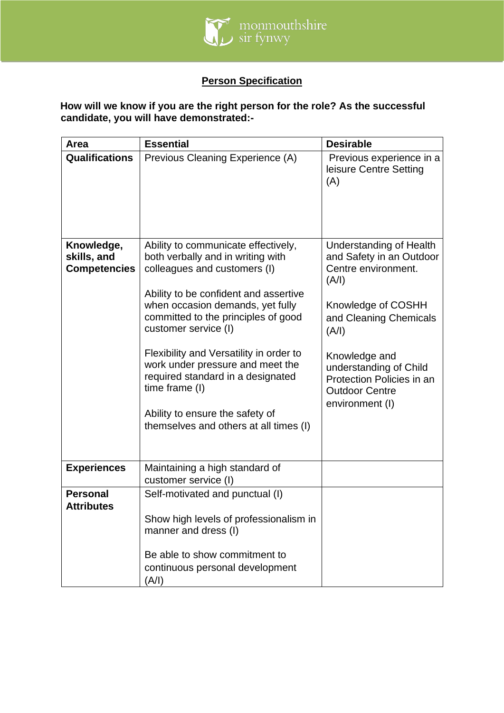

# **Person Specification**

# **How will we know if you are the right person for the role? As the successful candidate, you will have demonstrated:-**

| Area                                             | <b>Essential</b>                                                                                                                                                                                                                                                                                                                                                                                                                                                        | <b>Desirable</b>                                                                                                                                                                                                                                                 |
|--------------------------------------------------|-------------------------------------------------------------------------------------------------------------------------------------------------------------------------------------------------------------------------------------------------------------------------------------------------------------------------------------------------------------------------------------------------------------------------------------------------------------------------|------------------------------------------------------------------------------------------------------------------------------------------------------------------------------------------------------------------------------------------------------------------|
| <b>Qualifications</b>                            | Previous Cleaning Experience (A)                                                                                                                                                                                                                                                                                                                                                                                                                                        | Previous experience in a<br>leisure Centre Setting<br>(A)                                                                                                                                                                                                        |
| Knowledge,<br>skills, and<br><b>Competencies</b> | Ability to communicate effectively,<br>both verbally and in writing with<br>colleagues and customers (I)<br>Ability to be confident and assertive<br>when occasion demands, yet fully<br>committed to the principles of good<br>customer service (I)<br>Flexibility and Versatility in order to<br>work under pressure and meet the<br>required standard in a designated<br>time frame (I)<br>Ability to ensure the safety of<br>themselves and others at all times (I) | Understanding of Health<br>and Safety in an Outdoor<br>Centre environment.<br>(A/I)<br>Knowledge of COSHH<br>and Cleaning Chemicals<br>(A/I)<br>Knowledge and<br>understanding of Child<br>Protection Policies in an<br><b>Outdoor Centre</b><br>environment (I) |
| <b>Experiences</b>                               | Maintaining a high standard of<br>customer service (I)                                                                                                                                                                                                                                                                                                                                                                                                                  |                                                                                                                                                                                                                                                                  |
| <b>Personal</b><br><b>Attributes</b>             | Self-motivated and punctual (I)<br>Show high levels of professionalism in<br>manner and dress (I)<br>Be able to show commitment to<br>continuous personal development<br>(A/I)                                                                                                                                                                                                                                                                                          |                                                                                                                                                                                                                                                                  |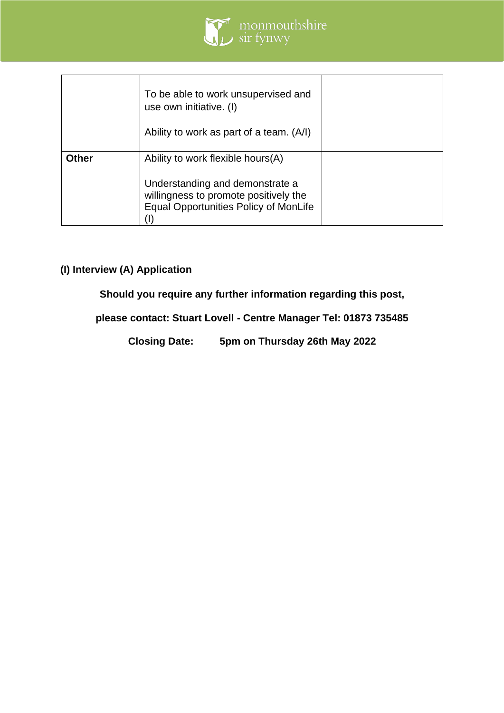

|              | To be able to work unsupervised and<br>use own initiative. (I)<br>Ability to work as part of a team. (A/I)                                                    |  |
|--------------|---------------------------------------------------------------------------------------------------------------------------------------------------------------|--|
| <b>Other</b> | Ability to work flexible hours(A)<br>Understanding and demonstrate a<br>willingness to promote positively the<br><b>Equal Opportunities Policy of MonLife</b> |  |

# **(I) Interview (A) Application**

**Should you require any further information regarding this post,**

**please contact: Stuart Lovell - Centre Manager Tel: 01873 735485**

**Closing Date: 5pm on Thursday 26th May 2022**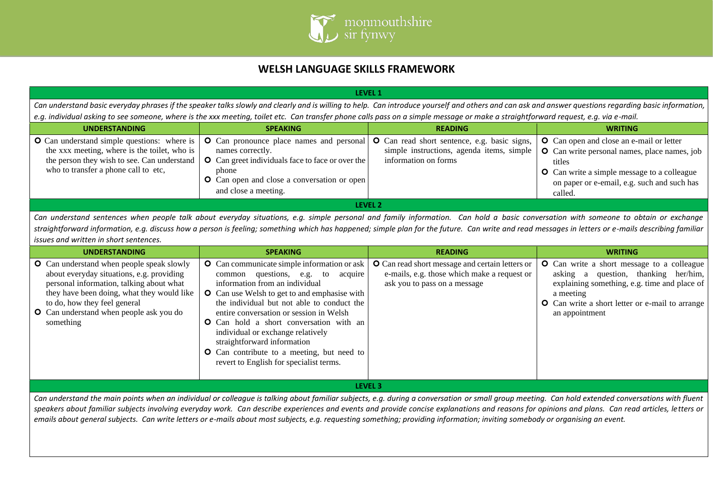

## **WELSH LANGUAGE SKILLS FRAMEWORK**

| <b>LEVEL 1</b>                                                                                                                                                                                        |                                                                                                                                                                                                                       |                                                                                                                   |                                                                                                                                                                                                                                  |  |
|-------------------------------------------------------------------------------------------------------------------------------------------------------------------------------------------------------|-----------------------------------------------------------------------------------------------------------------------------------------------------------------------------------------------------------------------|-------------------------------------------------------------------------------------------------------------------|----------------------------------------------------------------------------------------------------------------------------------------------------------------------------------------------------------------------------------|--|
| Can understand basic everyday phrases if the speaker talks slowly and clearly and is willing to help. Can introduce yourself and others and can ask and answer questions regarding basic information, |                                                                                                                                                                                                                       |                                                                                                                   |                                                                                                                                                                                                                                  |  |
|                                                                                                                                                                                                       | e.g. individual asking to see someone, where is the xxx meeting, toilet etc. Can transfer phone calls pass on a simple message or make a straightforward request, e.g. via e-mail.                                    |                                                                                                                   |                                                                                                                                                                                                                                  |  |
| <b>UNDERSTANDING</b>                                                                                                                                                                                  | <b>SPEAKING</b>                                                                                                                                                                                                       | <b>READING</b>                                                                                                    | <b>WRITING</b>                                                                                                                                                                                                                   |  |
| O Can understand simple questions: where is<br>the xxx meeting, where is the toilet, who is<br>the person they wish to see. Can understand<br>who to transfer a phone call to etc,                    | <b>O</b> Can pronounce place names and personal<br>names correctly.<br><b>O</b> Can greet individuals face to face or over the<br>phone<br><b>O</b> Can open and close a conversation or open<br>and close a meeting. | O Can read short sentence, e.g. basic signs,<br>simple instructions, agenda items, simple<br>information on forms | <b>O</b> Can open and close an e-mail or letter<br><b>O</b> Can write personal names, place names, job<br>titles<br><b>O</b> Can write a simple message to a colleague<br>on paper or e-email, e.g. such and such has<br>called. |  |
| LEVEL 2                                                                                                                                                                                               |                                                                                                                                                                                                                       |                                                                                                                   |                                                                                                                                                                                                                                  |  |

*Can understand sentences when people talk about everyday situations, e.g. simple personal and family information. Can hold a basic conversation with someone to obtain or exchange straightforward information, e.g. discuss how a person is feeling; something which has happened; simple plan for the future. Can write and read messages in letters or e-mails describing familiar issues and written in short sentences.* 

| <b>UNDERSTANDING</b>                                                                                                                                                                                                                                                                   | <b>SPEAKING</b>                                                                                                                                                                                                                                                                                                                                                                                                                                                                                       | <b>READING</b>                                                                                                                        | <b>WRITING</b>                                                                                                                                                                                                                     |
|----------------------------------------------------------------------------------------------------------------------------------------------------------------------------------------------------------------------------------------------------------------------------------------|-------------------------------------------------------------------------------------------------------------------------------------------------------------------------------------------------------------------------------------------------------------------------------------------------------------------------------------------------------------------------------------------------------------------------------------------------------------------------------------------------------|---------------------------------------------------------------------------------------------------------------------------------------|------------------------------------------------------------------------------------------------------------------------------------------------------------------------------------------------------------------------------------|
| <b>O</b> Can understand when people speak slowly<br>about everyday situations, e.g. providing<br>personal information, talking about what<br>they have been doing, what they would like<br>to do, how they feel general<br><b>O</b> Can understand when people ask you do<br>something | <b>O</b> Can communicate simple information or ask<br>questions, e.g. to<br>acquire<br>common<br>information from an individual<br><b>O</b> Can use Welsh to get to and emphasise with<br>the individual but not able to conduct the<br>entire conversation or session in Welsh<br><b>O</b> Can hold a short conversation with an<br>individual or exchange relatively<br>straightforward information<br><b>O</b> Can contribute to a meeting, but need to<br>revert to English for specialist terms. | <b>O</b> Can read short message and certain letters or<br>e-mails, e.g. those which make a request or<br>ask you to pass on a message | <b>O</b> Can write a short message to a colleague<br>asking a question, thanking her/him,<br>explaining something, e.g. time and place of<br>a meeting<br><b>O</b> Can write a short letter or e-mail to arrange<br>an appointment |
| LEVEL 3                                                                                                                                                                                                                                                                                |                                                                                                                                                                                                                                                                                                                                                                                                                                                                                                       |                                                                                                                                       |                                                                                                                                                                                                                                    |

*Can understand the main points when an individual or colleague is talking about familiar subjects, e.g. during a conversation or small group meeting. Can hold extended conversations with fluent*  speakers about familiar subjects involving everyday work. Can describe experiences and events and provide concise explanations and reasons for opinions and plans. Can read articles, letters or *emails about general subjects. Can write letters or e-mails about most subjects, e.g. requesting something; providing information; inviting somebody or organising an event.*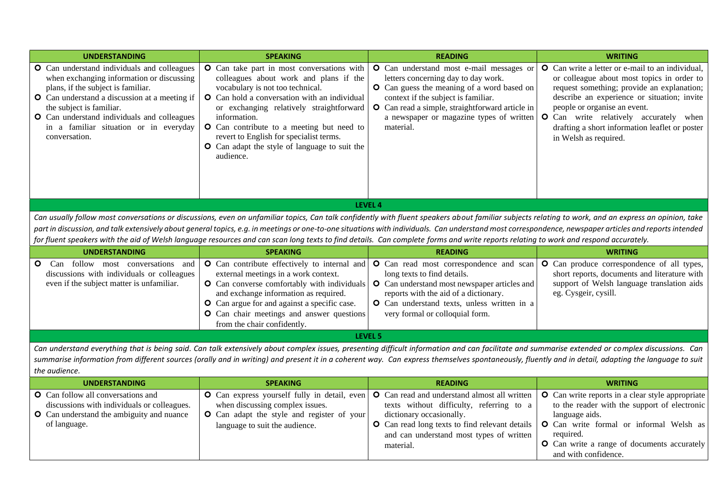| <b>UNDERSTANDING</b>                                                                                                                                                                                                                                                                                                  | <b>SPEAKING</b>                                                                                                                                                                                                                                                                                                                                                                                                                                                                                                                                                                                       | <b>READING</b>                                                                                                                                                                                                                                                                          | <b>WRITING</b>                                                                                                                                                                                                                                                                                                                                          |
|-----------------------------------------------------------------------------------------------------------------------------------------------------------------------------------------------------------------------------------------------------------------------------------------------------------------------|-------------------------------------------------------------------------------------------------------------------------------------------------------------------------------------------------------------------------------------------------------------------------------------------------------------------------------------------------------------------------------------------------------------------------------------------------------------------------------------------------------------------------------------------------------------------------------------------------------|-----------------------------------------------------------------------------------------------------------------------------------------------------------------------------------------------------------------------------------------------------------------------------------------|---------------------------------------------------------------------------------------------------------------------------------------------------------------------------------------------------------------------------------------------------------------------------------------------------------------------------------------------------------|
| O Can understand individuals and colleagues<br>when exchanging information or discussing<br>plans, if the subject is familiar.<br>O Can understand a discussion at a meeting if<br>the subject is familiar.<br>O Can understand individuals and colleagues<br>in a familiar situation or in everyday<br>conversation. | O Can take part in most conversations with<br>colleagues about work and plans if the<br>vocabulary is not too technical.<br>O Can hold a conversation with an individual<br>or exchanging relatively straightforward<br>information.<br>O Can contribute to a meeting but need to<br>revert to English for specialist terms.<br><b>O</b> Can adapt the style of language to suit the<br>audience.                                                                                                                                                                                                     | O Can understand most e-mail messages or<br>letters concerning day to day work.<br>O Can guess the meaning of a word based on<br>context if the subject is familiar.<br><b>O</b> Can read a simple, straightforward article in<br>a newspaper or magazine types of written<br>material. | <b>O</b> Can write a letter or e-mail to an individual,<br>or colleague about most topics in order to<br>request something; provide an explanation;<br>describe an experience or situation; invite<br>people or organise an event.<br>O Can write relatively accurately when<br>drafting a short information leaflet or poster<br>in Welsh as required. |
|                                                                                                                                                                                                                                                                                                                       |                                                                                                                                                                                                                                                                                                                                                                                                                                                                                                                                                                                                       | LEVEL 4                                                                                                                                                                                                                                                                                 |                                                                                                                                                                                                                                                                                                                                                         |
|                                                                                                                                                                                                                                                                                                                       | Can usually follow most conversations or discussions, even on unfamiliar topics, Can talk confidently with fluent speakers about familiar subjects relating to work, and an express an opinion, take<br>part in discussion, and talk extensively about general topics, e.g. in meetings or one-to-one situations with individuals. Can understand most correspondence, newspaper articles and reports intended<br>for fluent speakers with the aid of Welsh language resources and can scan long texts to find details. Can complete forms and write reports relating to work and respond accurately. |                                                                                                                                                                                                                                                                                         |                                                                                                                                                                                                                                                                                                                                                         |
| <b>UNDERSTANDING</b>                                                                                                                                                                                                                                                                                                  | <b>SPEAKING</b>                                                                                                                                                                                                                                                                                                                                                                                                                                                                                                                                                                                       | <b>READING</b>                                                                                                                                                                                                                                                                          | <b>WRITING</b>                                                                                                                                                                                                                                                                                                                                          |
| Can follow most conversations and<br>O.<br>discussions with individuals or colleagues<br>even if the subject matter is unfamiliar.                                                                                                                                                                                    | O Can contribute effectively to internal and<br>external meetings in a work context.<br>O Can converse comfortably with individuals<br>and exchange information as required.<br><b>O</b> Can argue for and against a specific case.<br>O Can chair meetings and answer questions<br>from the chair confidently.                                                                                                                                                                                                                                                                                       | O Can read most correspondence and scan<br>long texts to find details.<br>O Can understand most newspaper articles and<br>reports with the aid of a dictionary.<br>O Can understand texts, unless written in a<br>very formal or colloquial form.                                       | O Can produce correspondence of all types,<br>short reports, documents and literature with<br>support of Welsh language translation aids<br>eg. Cysgeir, cysill.                                                                                                                                                                                        |
|                                                                                                                                                                                                                                                                                                                       |                                                                                                                                                                                                                                                                                                                                                                                                                                                                                                                                                                                                       | <b>LEVEL 5</b>                                                                                                                                                                                                                                                                          |                                                                                                                                                                                                                                                                                                                                                         |
| the audience.                                                                                                                                                                                                                                                                                                         | Can understand everything that is being said. Can talk extensively about complex issues, presenting difficult information and can facilitate and summarise extended or complex discussions. Can<br>summarise information from different sources (orally and in writing) and present it in a coherent way. Can express themselves spontaneously, fluently and in detail, adapting the language to suit                                                                                                                                                                                                 |                                                                                                                                                                                                                                                                                         |                                                                                                                                                                                                                                                                                                                                                         |
| <b>UNDERSTANDING</b>                                                                                                                                                                                                                                                                                                  | <b>SPEAKING</b>                                                                                                                                                                                                                                                                                                                                                                                                                                                                                                                                                                                       | <b>READING</b>                                                                                                                                                                                                                                                                          | <b>WRITING</b>                                                                                                                                                                                                                                                                                                                                          |
| <b>O</b> Can follow all conversations and<br>discussions with individuals or colleagues.<br>O Can understand the ambiguity and nuance<br>of language.                                                                                                                                                                 | O Can express yourself fully in detail, even<br>when discussing complex issues.<br>O Can adapt the style and register of your<br>language to suit the audience.                                                                                                                                                                                                                                                                                                                                                                                                                                       | O Can read and understand almost all written<br>texts without difficulty, referring to a<br>dictionary occasionally.<br>O Can read long texts to find relevant details<br>and can understand most types of written<br>material.                                                         | O Can write reports in a clear style appropriate<br>to the reader with the support of electronic<br>language aids.<br>O Can write formal or informal Welsh as<br>required.<br>O Can write a range of documents accurately<br>and with confidence.                                                                                                       |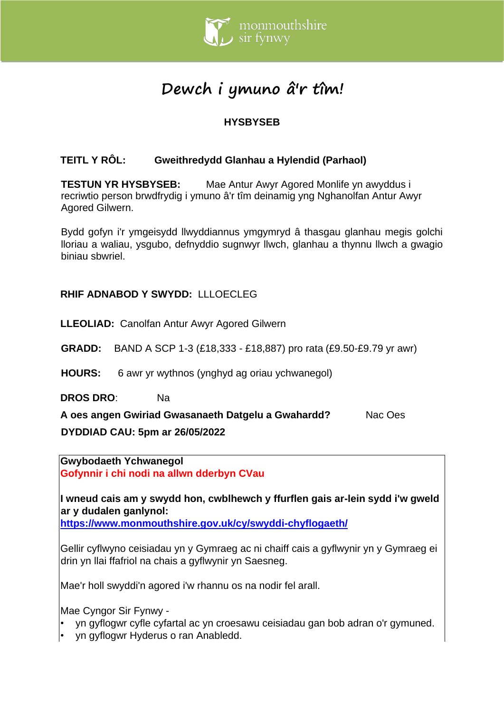

# **Dewch i ymuno â'r tîm!**

# **HYSBYSEB**

# **TEITL Y RÔL: Gweithredydd Glanhau a Hylendid (Parhaol)**

**TESTUN YR HYSBYSEB:** Mae Antur Awyr Agored Monlife yn awyddus i recriwtio person brwdfrydig i ymuno â'r tîm deinamig yng Nghanolfan Antur Awyr Agored Gilwern.

Bydd gofyn i'r ymgeisydd llwyddiannus ymgymryd â thasgau glanhau megis golchi lloriau a waliau, ysgubo, defnyddio sugnwyr llwch, glanhau a thynnu llwch a gwagio biniau sbwriel.

## **RHIF ADNABOD Y SWYDD:** LLLOECLEG

**LLEOLIAD:** Canolfan Antur Awyr Agored Gilwern

**GRADD:** BAND A SCP 1-3 (£18,333 - £18,887) pro rata (£9.50-£9.79 yr awr)

**HOURS:** 6 awr yr wythnos (ynghyd ag oriau ychwanegol)

**DROS DRO**: Na

**A oes angen Gwiriad Gwasanaeth Datgelu a Gwahardd?** Nac Oes **DYDDIAD CAU: 5pm ar 26/05/2022**

**Gwybodaeth Ychwanegol Gofynnir i chi nodi na allwn dderbyn CVau**

**I wneud cais am y swydd hon, cwblhewch y ffurflen gais ar-lein sydd i'w gweld ar y dudalen ganlynol:**

**<https://www.monmouthshire.gov.uk/cy/swyddi-chyflogaeth/>**

Gellir cyflwyno ceisiadau yn y Gymraeg ac ni chaiff cais a gyflwynir yn y Gymraeg ei drin yn llai ffafriol na chais a gyflwynir yn Saesneg.

Mae'r holl swyddi'n agored i'w rhannu os na nodir fel arall.

Mae Cyngor Sir Fynwy -

- yn gyflogwr cyfle cyfartal ac yn croesawu ceisiadau gan bob adran o'r gymuned.
- yn gyflogwr Hyderus o ran Anabledd.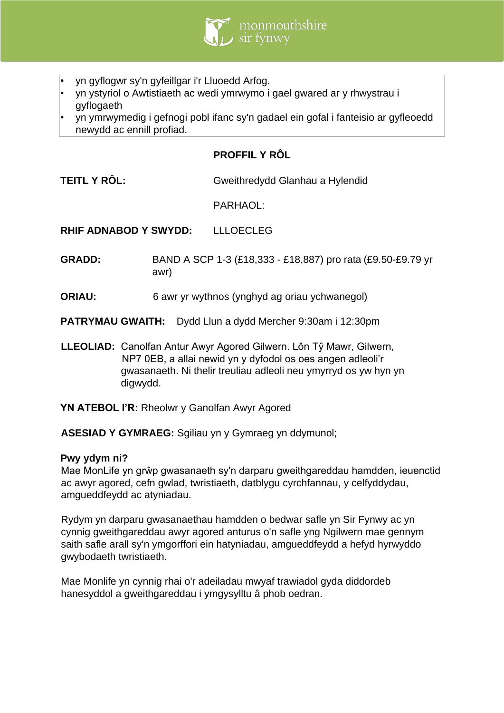

- yn gyflogwr sy'n gyfeillgar i'r Lluoedd Arfog.
- yn ystyriol o Awtistiaeth ac wedi ymrwymo i gael gwared ar y rhwystrau i gyflogaeth
- yn ymrwymedig i gefnogi pobl ifanc sy'n gadael ein gofal i fanteisio ar gyfleoedd newydd ac ennill profiad.

## **PROFFIL Y RÔL**

**TEITL Y RÔL:** Gweithredydd Glanhau a Hylendid

PARHAOL:

**RHIF ADNABOD Y SWYDD:** LLLOECLEG

- **GRADD:** BAND A SCP 1-3 (£18,333 £18,887) pro rata (£9.50-£9.79 yr awr)
- **ORIAU:** 6 awr yr wythnos (ynghyd ag oriau ychwanegol)

**PATRYMAU GWAITH:** Dydd Llun a dydd Mercher 9:30am i 12:30pm

**LLEOLIAD:** Canolfan Antur Awyr Agored Gilwern. Lôn Tŷ Mawr, Gilwern, NP7 0EB, a allai newid yn y dyfodol os oes angen adleoli'r gwasanaeth. Ni thelir treuliau adleoli neu ymyrryd os yw hyn yn digwydd.

YN ATEBOL I'R: Rheolwr y Ganolfan Awyr Agored

**ASESIAD Y GYMRAEG:** Sgiliau yn y Gymraeg yn ddymunol;

#### **Pwy ydym ni?**

Mae MonLife yn grŵp gwasanaeth sy'n darparu gweithgareddau hamdden, ieuenctid ac awyr agored, cefn gwlad, twristiaeth, datblygu cyrchfannau, y celfyddydau, amgueddfeydd ac atyniadau.

Rydym yn darparu gwasanaethau hamdden o bedwar safle yn Sir Fynwy ac yn cynnig gweithgareddau awyr agored anturus o'n safle yng Ngilwern mae gennym saith safle arall sy'n ymgorffori ein hatyniadau, amgueddfeydd a hefyd hyrwyddo gwybodaeth twristiaeth.

Mae Monlife yn cynnig rhai o'r adeiladau mwyaf trawiadol gyda diddordeb hanesyddol a gweithgareddau i ymgysylltu â phob oedran.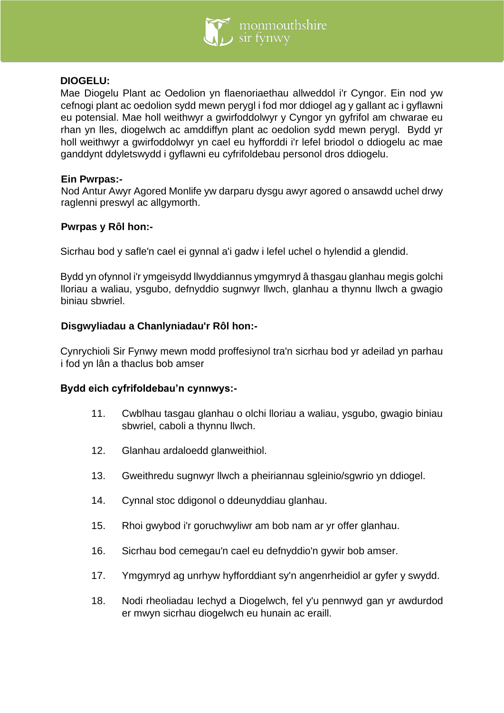

## **DIOGELU:**

Mae Diogelu Plant ac Oedolion yn flaenoriaethau allweddol i'r Cyngor. Ein nod yw cefnogi plant ac oedolion sydd mewn perygl i fod mor ddiogel ag y gallant ac i gyflawni eu potensial. Mae holl weithwyr a gwirfoddolwyr y Cyngor yn gyfrifol am chwarae eu rhan yn lles, diogelwch ac amddiffyn plant ac oedolion sydd mewn perygl. Bydd yr holl weithwyr a gwirfoddolwyr yn cael eu hyfforddi i'r lefel briodol o ddiogelu ac mae ganddynt ddyletswydd i gyflawni eu cyfrifoldebau personol dros ddiogelu.

#### **Ein Pwrpas:-**

Nod Antur Awyr Agored Monlife yw darparu dysgu awyr agored o ansawdd uchel drwy raglenni preswyl ac allgymorth.

## **Pwrpas y Rôl hon:-**

Sicrhau bod y safle'n cael ei gynnal a'i gadw i lefel uchel o hylendid a glendid.

Bydd yn ofynnol i'r ymgeisydd llwyddiannus ymgymryd â thasgau glanhau megis golchi lloriau a waliau, ysgubo, defnyddio sugnwyr llwch, glanhau a thynnu llwch a gwagio biniau sbwriel.

## **Disgwyliadau a Chanlyniadau'r Rôl hon:-**

Cynrychioli Sir Fynwy mewn modd proffesiynol tra'n sicrhau bod yr adeilad yn parhau i fod yn lân a thaclus bob amser

#### **Bydd eich cyfrifoldebau'n cynnwys:-**

- 11. Cwblhau tasgau glanhau o olchi lloriau a waliau, ysgubo, gwagio biniau sbwriel, caboli a thynnu llwch.
- 12. Glanhau ardaloedd glanweithiol.
- 13. Gweithredu sugnwyr llwch a pheiriannau sgleinio/sgwrio yn ddiogel.
- 14. Cynnal stoc ddigonol o ddeunyddiau glanhau.
- 15. Rhoi gwybod i'r goruchwyliwr am bob nam ar yr offer glanhau.
- 16. Sicrhau bod cemegau'n cael eu defnyddio'n gywir bob amser.
- 17. Ymgymryd ag unrhyw hyfforddiant sy'n angenrheidiol ar gyfer y swydd.
- 18. Nodi rheoliadau Iechyd a Diogelwch, fel y'u pennwyd gan yr awdurdod er mwyn sicrhau diogelwch eu hunain ac eraill.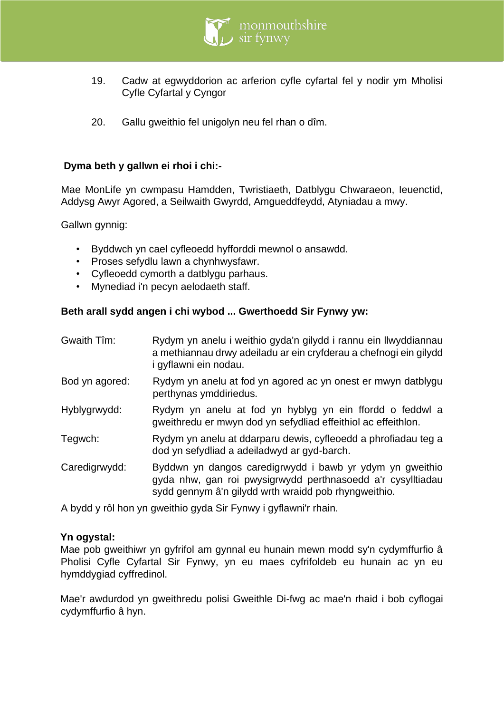

- 19. Cadw at egwyddorion ac arferion cyfle cyfartal fel y nodir ym Mholisi Cyfle Cyfartal y Cyngor
- 20. Gallu gweithio fel unigolyn neu fel rhan o dîm.

## **Dyma beth y gallwn ei rhoi i chi:-**

Mae MonLife yn cwmpasu Hamdden, Twristiaeth, Datblygu Chwaraeon, Ieuenctid, Addysg Awyr Agored, a Seilwaith Gwyrdd, Amgueddfeydd, Atyniadau a mwy.

Gallwn gynnig:

- Byddwch yn cael cyfleoedd hyfforddi mewnol o ansawdd.
- Proses sefydlu lawn a chynhwysfawr.
- Cyfleoedd cymorth a datblygu parhaus.
- Mynediad i'n pecyn aelodaeth staff.

## **Beth arall sydd angen i chi wybod ... Gwerthoedd Sir Fynwy yw:**

| Gwaith Tîm:    | Rydym yn anelu i weithio gyda'n gilydd i rannu ein llwyddiannau<br>a methiannau drwy adeiladu ar ein cryfderau a chefnogi ein gilydd<br>i gyflawni ein nodau.                   |
|----------------|---------------------------------------------------------------------------------------------------------------------------------------------------------------------------------|
| Bod yn agored: | Rydym yn anelu at fod yn agored ac yn onest er mwyn datblygu<br>perthynas ymddiriedus.                                                                                          |
| Hyblygrwydd:   | Rydym yn anelu at fod yn hyblyg yn ein ffordd o feddwl a<br>gweithredu er mwyn dod yn sefydliad effeithiol ac effeithion.                                                       |
| Tegwch:        | Rydym yn anelu at ddarparu dewis, cyfleoedd a phrofiadau teg a<br>dod yn sefydliad a adeiladwyd ar gyd-barch.                                                                   |
| Caredigrwydd:  | Byddwn yn dangos caredigrwydd i bawb yr ydym yn gweithio<br>gyda nhw, gan roi pwysigrwydd perthnasoedd a'r cysylltiadau<br>sydd gennym â'n gilydd wrth wraidd pob rhyngweithio. |

A bydd y rôl hon yn gweithio gyda Sir Fynwy i gyflawni'r rhain.

## **Yn ogystal:**

Mae pob gweithiwr yn gyfrifol am gynnal eu hunain mewn modd sy'n cydymffurfio â Pholisi Cyfle Cyfartal Sir Fynwy, yn eu maes cyfrifoldeb eu hunain ac yn eu hymddygiad cyffredinol.

Mae'r awdurdod yn gweithredu polisi Gweithle Di-fwg ac mae'n rhaid i bob cyflogai cydymffurfio â hyn.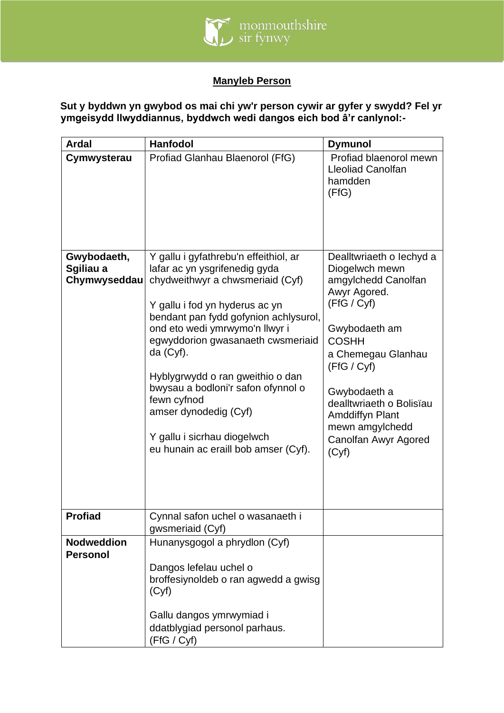

# **Manyleb Person**

**Sut y byddwn yn gwybod os mai chi yw'r person cywir ar gyfer y swydd? Fel yr ymgeisydd llwyddiannus, byddwch wedi dangos eich bod â'r canlynol:-**

| <b>Ardal</b>                             | <b>Hanfodol</b>                                                                                                                                                                                                                                                                                                                                                                                                                                                      | <b>Dymunol</b>                                                                                                                                                                                                                                                                                   |
|------------------------------------------|----------------------------------------------------------------------------------------------------------------------------------------------------------------------------------------------------------------------------------------------------------------------------------------------------------------------------------------------------------------------------------------------------------------------------------------------------------------------|--------------------------------------------------------------------------------------------------------------------------------------------------------------------------------------------------------------------------------------------------------------------------------------------------|
| Cymwysterau                              | Profiad Glanhau Blaenorol (FfG)                                                                                                                                                                                                                                                                                                                                                                                                                                      | Profiad blaenorol mewn<br><b>Lleoliad Canolfan</b><br>hamdden<br>(FfG)                                                                                                                                                                                                                           |
| Gwybodaeth,<br>Sgiliau a<br>Chymwyseddau | Y gallu i gyfathrebu'n effeithiol, ar<br>lafar ac yn ysgrifenedig gyda<br>chydweithwyr a chwsmeriaid (Cyf)<br>Y gallu i fod yn hyderus ac yn<br>bendant pan fydd gofynion achlysurol,<br>ond eto wedi ymrwymo'n llwyr i<br>egwyddorion gwasanaeth cwsmeriaid<br>$da$ (Cyf).<br>Hyblygrwydd o ran gweithio o dan<br>bwysau a bodloni'r safon ofynnol o<br>fewn cyfnod<br>amser dynodedig (Cyf)<br>Y gallu i sicrhau diogelwch<br>eu hunain ac eraill bob amser (Cyf). | Dealltwriaeth o lechyd a<br>Diogelwch mewn<br>amgylchedd Canolfan<br>Awyr Agored.<br>(FfG / Cyf)<br>Gwybodaeth am<br><b>COSHH</b><br>a Chemegau Glanhau<br>(FfG / Cyf)<br>Gwybodaeth a<br>dealltwriaeth o Bolisïau<br><b>Amddiffyn Plant</b><br>mewn amgylchedd<br>Canolfan Awyr Agored<br>(Cyf) |
| <b>Profiad</b>                           | Cynnal safon uchel o wasanaeth i<br>gwsmeriaid (Cyf)                                                                                                                                                                                                                                                                                                                                                                                                                 |                                                                                                                                                                                                                                                                                                  |
| <b>Nodweddion</b><br><b>Personol</b>     | Hunanysgogol a phrydlon (Cyf)<br>Dangos lefelau uchel o<br>broffesiynoldeb o ran agwedd a gwisg<br>(Cyf)<br>Gallu dangos ymrwymiad i<br>ddatblygiad personol parhaus.<br>(FfG / Cyf)                                                                                                                                                                                                                                                                                 |                                                                                                                                                                                                                                                                                                  |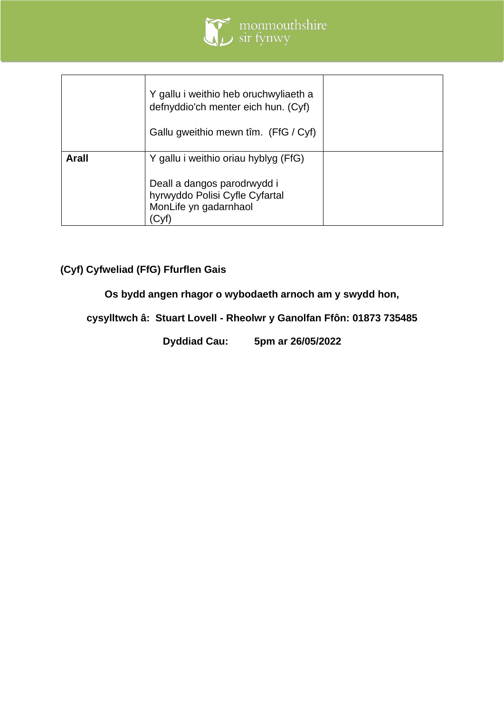

|       | Y gallu i weithio heb oruchwyliaeth a<br>defnyddio'ch menter eich hun. (Cyf)<br>Gallu gweithio mewn tîm. (FfG / Cyf) |  |
|-------|----------------------------------------------------------------------------------------------------------------------|--|
| Arall | Y gallu i weithio oriau hyblyg (FfG)<br>Deall a dangos parodrwydd i<br>hyrwyddo Polisi Cyfle Cyfartal                |  |
|       | MonLife yn gadarnhaol                                                                                                |  |

# **(Cyf) Cyfweliad (FfG) Ffurflen Gais**

**Os bydd angen rhagor o wybodaeth arnoch am y swydd hon,**

**cysylltwch â: Stuart Lovell - Rheolwr y Ganolfan Ffôn: 01873 735485**

**Dyddiad Cau: 5pm ar 26/05/2022**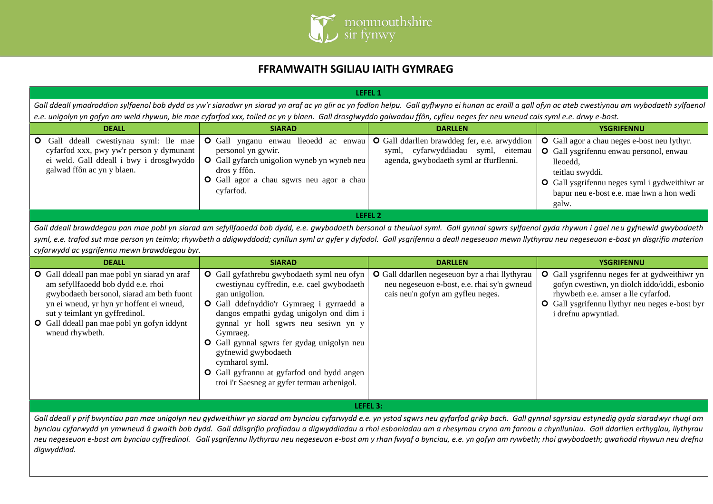

## **FFRAMWAITH SGILIAU IAITH GYMRAEG**

| LEFEL 1                                                                                                                                                             |                                                                                                                                                                                                                                                                                                                                                                                  |                                                                                                                                     |                                                                                                                                                                                                                                           |  |  |
|---------------------------------------------------------------------------------------------------------------------------------------------------------------------|----------------------------------------------------------------------------------------------------------------------------------------------------------------------------------------------------------------------------------------------------------------------------------------------------------------------------------------------------------------------------------|-------------------------------------------------------------------------------------------------------------------------------------|-------------------------------------------------------------------------------------------------------------------------------------------------------------------------------------------------------------------------------------------|--|--|
|                                                                                                                                                                     | Gall ddeall ymadroddion sylfaenol bob dydd os yw'r siaradwr yn siarad yn araf ac yn glir ac yn fodlon helpu. Gall gyflwyno ei hunan ac eraill a gall ofyn ac ateb cwestiynau am wybodaeth sylfaenol<br>e.e. unigolyn yn gofyn am weld rhywun, ble mae cyfarfod xxx, toiled ac yn y blaen. Gall drosglwyddo galwadau ffôn, cyfleu neges fer neu wneud cais syml e.e. drwy e-bost. |                                                                                                                                     |                                                                                                                                                                                                                                           |  |  |
| <b>DEALL</b>                                                                                                                                                        | <b>SIARAD</b>                                                                                                                                                                                                                                                                                                                                                                    | <b>DARLLEN</b>                                                                                                                      | <b>YSGRIFENNU</b>                                                                                                                                                                                                                         |  |  |
| <b>O</b> Gall ddeall cwestiynau syml: lle mae<br>cyfarfod xxx, pwy yw'r person y dymunant<br>ei weld. Gall ddeall i bwy i drosglwyddo<br>galwad ffôn ac yn y blaen. | <b>O</b> Gall ynganu enwau lleoedd ac enwau<br>personol yn gywir.<br><b>O</b> Gall gyfarch unigolion wyneb yn wyneb neu<br>dros y ffôn.<br>O Gall agor a chau sgwrs neu agor a chau<br>cyfarfod.                                                                                                                                                                                 | <b>O</b> Gall ddarllen brawddeg fer, e.e. arwyddion<br>syml, cyfarwyddiadau syml, eitemau<br>agenda, gwybodaeth syml ar ffurflenni. | <b>O</b> Gall agor a chau neges e-bost neu lythyr.<br>O Gall ysgrifennu enwau personol, enwau<br>lleoedd,<br>teitlau swyddi.<br><b>O</b> Gall ysgrifennu neges syml i gydweithiwr ar<br>bapur neu e-bost e.e. mae hwn a hon wedi<br>galw. |  |  |
| LEFEL 2                                                                                                                                                             |                                                                                                                                                                                                                                                                                                                                                                                  |                                                                                                                                     |                                                                                                                                                                                                                                           |  |  |

Gall ddeall brawddegau pan mae pobl yn siarad am sefyllfaoedd bob dydd, e.e. gwybodaeth bersonol a theuluol syml. Gall gynnal sgwrs sylfaenol gyda rhywun i gael neu gyfnewid gwybodaeth syml, e.e. trafod sut mae person yn teimlo; rhywbeth a ddigwyddodd; cynllun syml ar gyfer y dyfodol. Gall ysgrifennu a deall negeseuon mewn llythyrau neu negeseuon e-bost yn disgrifio materion *cyfarwydd ac ysgrifennu mewn brawddegau byr.*

| <b>DEALL</b>                                                                                                                                                                                                                                                                          | <b>SIARAD</b>                                                                                                                                                                                                                                                                                                                                                                                                                                    | <b>DARLLEN</b>                                                                                                                     | <b>YSGRIFENNU</b>                                                                                                                                                                                                    |
|---------------------------------------------------------------------------------------------------------------------------------------------------------------------------------------------------------------------------------------------------------------------------------------|--------------------------------------------------------------------------------------------------------------------------------------------------------------------------------------------------------------------------------------------------------------------------------------------------------------------------------------------------------------------------------------------------------------------------------------------------|------------------------------------------------------------------------------------------------------------------------------------|----------------------------------------------------------------------------------------------------------------------------------------------------------------------------------------------------------------------|
| <b>O</b> Gall ddeall pan mae pobl yn siarad yn araf<br>am sefyllfaoedd bob dydd e.e. rhoi<br>gwybodaeth bersonol, siarad am beth fuont<br>yn ei wneud, yr hyn yr hoffent ei wneud,<br>sut y teimlant yn gyffredinol.<br>O Gall ddeall pan mae pobl yn gofyn iddynt<br>wneud rhywbeth. | O Gall gyfathrebu gwybodaeth syml neu ofyn<br>cwestiynau cyffredin, e.e. cael gwybodaeth<br>gan unigolion.<br>O Gall ddefnyddio'r Gymraeg i gyrraedd a<br>dangos empathi gydag unigolyn ond dim i<br>gynnal yr holl sgwrs neu sesiwn yn y<br>Gymraeg.<br>O Gall gynnal sgwrs fer gydag unigolyn neu<br>gyfnewid gwybodaeth<br>cymharol syml.<br><b>O</b> Gall gyfrannu at gyfarfod ond bydd angen<br>troi i'r Saesneg ar gyfer termau arbenigol. | O Gall ddarllen negeseuon byr a rhai llythyrau<br>neu negeseuon e-bost, e.e. rhai sy'n gwneud<br>cais neu'n gofyn am gyfleu neges. | O Gall ysgrifennu neges fer at gydweithiwr yn<br>gofyn cwestiwn, yn diolch iddo/iddi, esbonio<br>rhywbeth e.e. amser a lle cyfarfod.<br><b>O</b> Gall ysgrifennu llythyr neu neges e-bost byr<br>i drefnu apwyntiad. |
| LEFEL 3:                                                                                                                                                                                                                                                                              |                                                                                                                                                                                                                                                                                                                                                                                                                                                  |                                                                                                                                    |                                                                                                                                                                                                                      |

*Gall ddeall y prif bwyntiau pan mae unigolyn neu gydweithiwr yn siarad am bynciau cyfarwydd e.e. yn ystod sgwrs neu gyfarfod grŵp bach. Gall gynnal sgyrsiau estynedig gyda siaradwyr rhugl am bynciau cyfarwydd yn ymwneud â gwaith bob dydd. Gall ddisgrifio profiadau a digwyddiadau a rhoi esboniadau am a rhesymau cryno am farnau a chynlluniau. Gall ddarllen erthyglau, llythyrau neu negeseuon e-bost am bynciau cyffredinol. Gall ysgrifennu llythyrau neu negeseuon e-bost am y rhan fwyaf o bynciau, e.e. yn gofyn am rywbeth; rhoi gwybodaeth; gwahodd rhywun neu drefnu digwyddiad.*